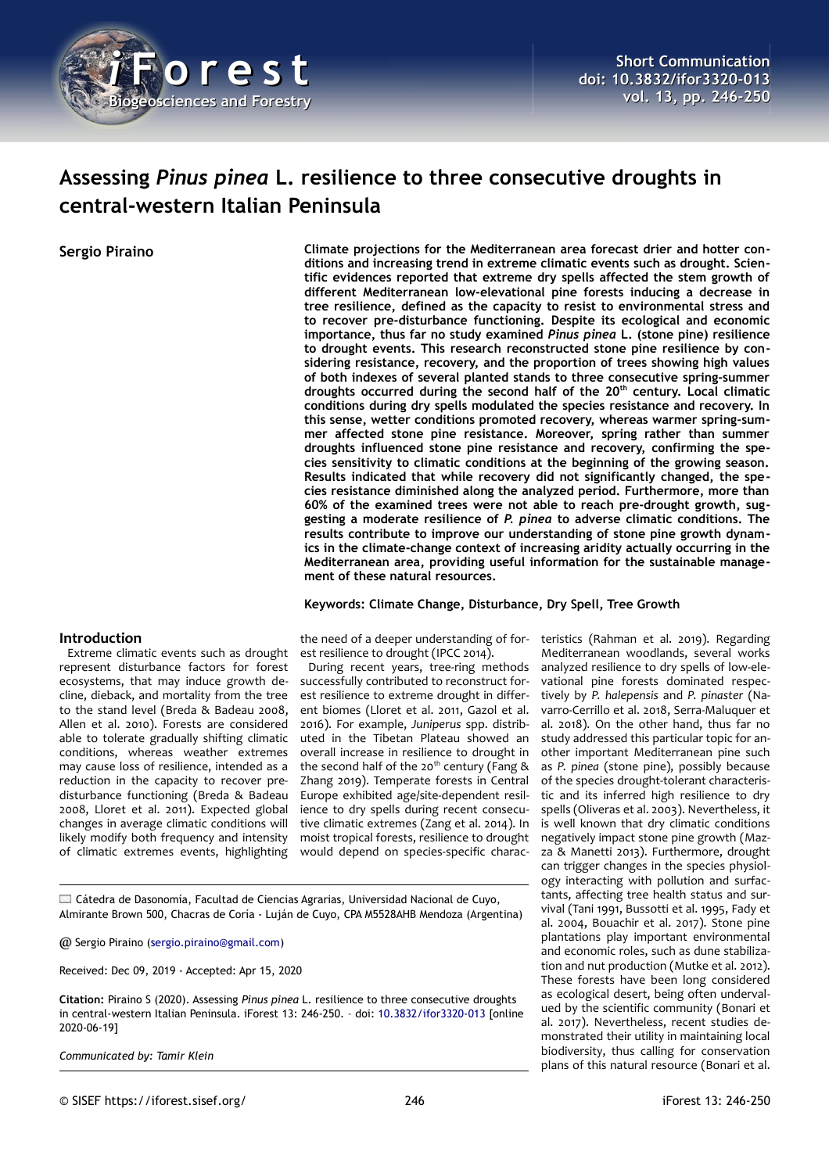

# **Assessing** *Pinus pinea* **L. resilience to three consecutive droughts in central-western Italian Peninsula**

**Sergio Piraino Climate projections for the Mediterranean area forecast drier and hotter conditions and increasing trend in extreme climatic events such as drought. Scientific evidences reported that extreme dry spells affected the stem growth of different Mediterranean low-elevational pine forests inducing a decrease in tree resilience, defined as the capacity to resist to environmental stress and to recover pre-disturbance functioning. Despite its ecological and economic importance, thus far no study examined** *Pinus pinea* **L. (stone pine) resilience to drought events. This research reconstructed stone pine resilience by considering resistance, recovery, and the proportion of trees showing high values of both indexes of several planted stands to three consecutive spring-summer droughts occurred during the second half of the 20th century. Local climatic conditions during dry spells modulated the species resistance and recovery. In this sense, wetter conditions promoted recovery, whereas warmer spring-summer affected stone pine resistance. Moreover, spring rather than summer droughts influenced stone pine resistance and recovery, confirming the species sensitivity to climatic conditions at the beginning of the growing season. Results indicated that while recovery did not significantly changed, the species resistance diminished along the analyzed period. Furthermore, more than 60% of the examined trees were not able to reach pre-drought growth, suggesting a moderate resilience of** *P. pinea* **to adverse climatic conditions. The results contribute to improve our understanding of stone pine growth dynamics in the climate-change context of increasing aridity actually occurring in the Mediterranean area, providing useful information for the sustainable management of these natural resources.**

## **Keywords: Climate Change, Disturbance, Dry Spell, Tree Growth**

## **Introduction**

Extreme climatic events such as drought represent disturbance factors for forest ecosystems, that may induce growth decline, dieback, and mortality from the tree to the stand level (Breda & Badeau 2008, Allen et al. 2010). Forests are considered able to tolerate gradually shifting climatic conditions, whereas weather extremes may cause loss of resilience, intended as a reduction in the capacity to recover predisturbance functioning (Breda & Badeau 2008, Lloret et al. 2011). Expected global changes in average climatic conditions will likely modify both frequency and intensity of climatic extremes events, highlighting

the need of a deeper understanding of forest resilience to drought (IPCC 2014).

During recent years, tree-ring methods successfully contributed to reconstruct forest resilience to extreme drought in different biomes (Lloret et al. 2011, Gazol et al. 2016). For example, *Juniperus* spp. distributed in the Tibetan Plateau showed an overall increase in resilience to drought in the second half of the 20<sup>th</sup> century (Fang  $\&$ Zhang 2019). Temperate forests in Central Europe exhibited age/site-dependent resilience to dry spells during recent consecutive climatic extremes (Zang et al. 2014). In moist tropical forests, resilience to drought would depend on species-specific charac-

Cátedra de Dasonomía, Facultad de Ciencias Agrarias, Universidad Nacional de Cuyo, Almirante Brown 500, Chacras de Coría - Luján de Cuyo, CPA M5528AHB Mendoza (Argentina)

@ Sergio Piraino [\(sergio.piraino@gmail.com\)](mailto:sergio.piraino@gmail.com)

Received: Dec 09, 2019 - Accepted: Apr 15, 2020

**Citation:** Piraino S (2020). Assessing *Pinus pinea* L. resilience to three consecutive droughts in central-western Italian Peninsula. iForest 13: 246-250. – doi: [10.3832/ifor3320-013](http://www.sisef.it/iforest/contents/?id=ifor3320-013) [online 2020-06-19]

*Communicated by: Tamir Klein*

teristics (Rahman et al. 2019). Regarding Mediterranean woodlands, several works analyzed resilience to dry spells of low-elevational pine forests dominated respectively by *P. halepensis* and *P. pinaster* (Navarro-Cerrillo et al. 2018, Serra-Maluquer et al. 2018). On the other hand, thus far no study addressed this particular topic for another important Mediterranean pine such as *P. pinea* (stone pine), possibly because of the species drought-tolerant characteristic and its inferred high resilience to dry spells (Oliveras et al. 2003). Nevertheless, it is well known that dry climatic conditions negatively impact stone pine growth (Mazza & Manetti 2013). Furthermore, drought can trigger changes in the species physiology interacting with pollution and surfactants, affecting tree health status and survival (Tani 1991, Bussotti et al. 1995, Fady et al. 2004, Bouachir et al. 2017). Stone pine plantations play important environmental and economic roles, such as dune stabilization and nut production (Mutke et al. 2012). These forests have been long considered as ecological desert, being often undervalued by the scientific community (Bonari et al. 2017). Nevertheless, recent studies demonstrated their utility in maintaining local biodiversity, thus calling for conservation plans of this natural resource (Bonari et al.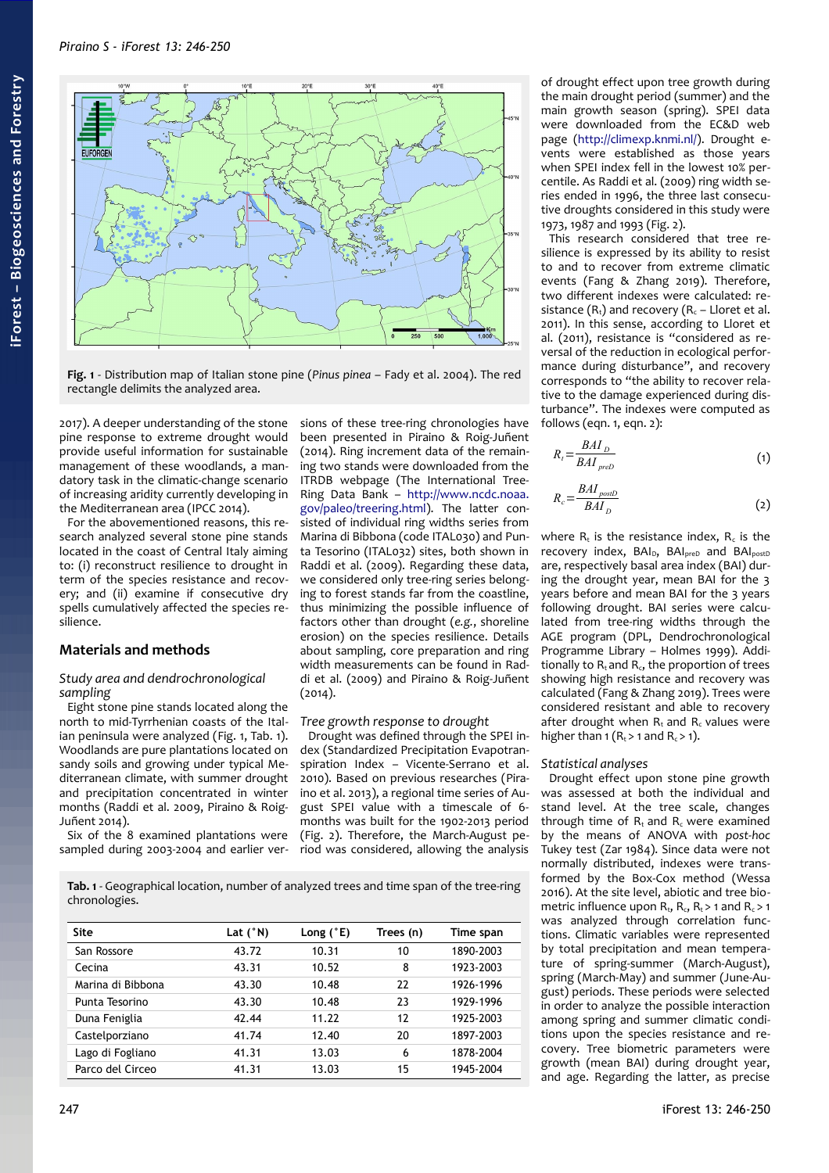

<span id="page-1-0"></span>**Fig. 1** - Distribution map of Italian stone pine (*Pinus pinea* – Fady et al. 2004). The red rectangle delimits the analyzed area.

2017). A deeper understanding of the stone pine response to extreme drought would provide useful information for sustainable management of these woodlands, a mandatory task in the climatic-change scenario of increasing aridity currently developing in the Mediterranean area (IPCC 2014).

For the abovementioned reasons, this research analyzed several stone pine stands located in the coast of Central Italy aiming to: (i) reconstruct resilience to drought in term of the species resistance and recovery; and (ii) examine if consecutive dry spells cumulatively affected the species resilience.

## **Materials and methods**

## *Study area and dendrochronological sampling*

Eight stone pine stands located along the north to mid-Tyrrhenian coasts of the Ital-ian peninsula were analyzed [\(Fig. 1,](#page-1-0) [Tab. 1\)](#page-1-1). Woodlands are pure plantations located on sandy soils and growing under typical Mediterranean climate, with summer drought and precipitation concentrated in winter months (Raddi et al. 2009, Piraino & Roig-Juñent 2014).

Six of the 8 examined plantations were sampled during 2003-2004 and earlier ver-

sions of these tree-ring chronologies have been presented in Piraino & Roig-Juñent (2014). Ring increment data of the remaining two stands were downloaded from the ITRDB webpage (The International Tree-Ring Data Bank – [http://www.ncdc.noaa.](http://www.ncdc.noaa.gov/paleo/treering.html) [gov/paleo/treering.html\)](http://www.ncdc.noaa.gov/paleo/treering.html). The latter consisted of individual ring widths series from Marina di Bibbona (code ITAL030) and Punta Tesorino (ITAL032) sites, both shown in Raddi et al. (2009). Regarding these data, we considered only tree-ring series belonging to forest stands far from the coastline, thus minimizing the possible influence of factors other than drought (*e.g.*, shoreline erosion) on the species resilience. Details about sampling, core preparation and ring width measurements can be found in Raddi et al. (2009) and Piraino & Roig-Juñent (2014).

## *Tree growth response to drought*

Drought was defined through the SPEI index (Standardized Precipitation Evapotranspiration Index – Vicente-Serrano et al. 2010). Based on previous researches (Piraino et al. 2013), a regional time series of August SPEI value with a timescale of 6 months was built for the 1902-2013 period [\(Fig. 2\)](#page-2-0). Therefore, the March-August period was considered, allowing the analysis

<span id="page-1-1"></span>**Tab. 1** - Geographical location, number of analyzed trees and time span of the tree-ring chronologies.

| <b>Site</b>       | Lat $(°N)$ | Long $(^{\circ}E)$ | Trees (n) | Time span |  |
|-------------------|------------|--------------------|-----------|-----------|--|
| San Rossore       | 43.72      | 10.31              | 10        | 1890-2003 |  |
| Cecina            | 43.31      | 10.52              | 8         | 1923-2003 |  |
| Marina di Bibbona | 43.30      | 10.48              | 22        | 1926-1996 |  |
| Punta Tesorino    | 43.30      | 10.48              | 23        | 1929-1996 |  |
| Duna Feniglia     | 42.44      | 11.22              | 12        | 1925-2003 |  |
| Castelporziano    | 41.74      | 12.40              | 20        | 1897-2003 |  |
| Lago di Fogliano  | 41.31      | 13.03              | 6         | 1878-2004 |  |
| Parco del Circeo  | 41.31      | 13.03              | 15        | 1945-2004 |  |

of drought effect upon tree growth during the main drought period (summer) and the main growth season (spring). SPEI data were downloaded from the EC&D web page [\(http://climexp.knmi.nl/\)](http://climexp.knmi.nl/). Drought events were established as those years when SPEI index fell in the lowest 10% percentile. As Raddi et al. (2009) ring width series ended in 1996, the three last consecutive droughts considered in this study were 1973, 1987 and 1993 [\(Fig. 2\)](#page-2-0).

This research considered that tree resilience is expressed by its ability to resist to and to recover from extreme climatic events (Fang & Zhang 2019). Therefore, two different indexes were calculated: resistance  $(R_t)$  and recovery  $(R_c - Lloret et al.$ 2011). In this sense, according to Lloret et al. (2011), resistance is "considered as reversal of the reduction in ecological performance during disturbance", and recovery corresponds to "the ability to recover relative to the damage experienced during disturbance". The indexes were computed as follows (eqn. 1, eqn. 2):

$$
R_t = \frac{BAI_D}{BAI_{preD}}
$$
 (1)

$$
R_c = \frac{BAI_{\text{post}}}{BAI_D} \tag{2}
$$

where  $R_t$  is the resistance index,  $R_c$  is the recovery index,  $BAI_{D}$ ,  $BAI_{prep}$  and  $BAI_{postD}$ are, respectively basal area index (BAI) during the drought year, mean BAI for the 3 years before and mean BAI for the 3 years following drought. BAI series were calculated from tree-ring widths through the AGE program (DPL, Dendrochronological Programme Library – Holmes 1999). Additionally to  $R_t$  and  $R_c$ , the proportion of trees showing high resistance and recovery was calculated (Fang & Zhang 2019). Trees were considered resistant and able to recovery after drought when  $R_t$  and  $R_c$  values were higher than 1 ( $R_t$  > 1 and  $R_c$  > 1).

#### *Statistical analyses*

Drought effect upon stone pine growth was assessed at both the individual and stand level. At the tree scale, changes through time of  $R_t$  and  $R_c$  were examined by the means of ANOVA with *post-hoc* Tukey test (Zar 1984). Since data were not normally distributed, indexes were transformed by the Box-Cox method (Wessa 2016). At the site level, abiotic and tree biometric influence upon  $R_t$ ,  $R_c$ ,  $R_t$  > 1 and  $R_c$  > 1 was analyzed through correlation functions. Climatic variables were represented by total precipitation and mean temperature of spring-summer (March-August), spring (March-May) and summer (June-August) periods. These periods were selected in order to analyze the possible interaction among spring and summer climatic conditions upon the species resistance and recovery. Tree biometric parameters were growth (mean BAI) during drought year, and age. Regarding the latter, as precise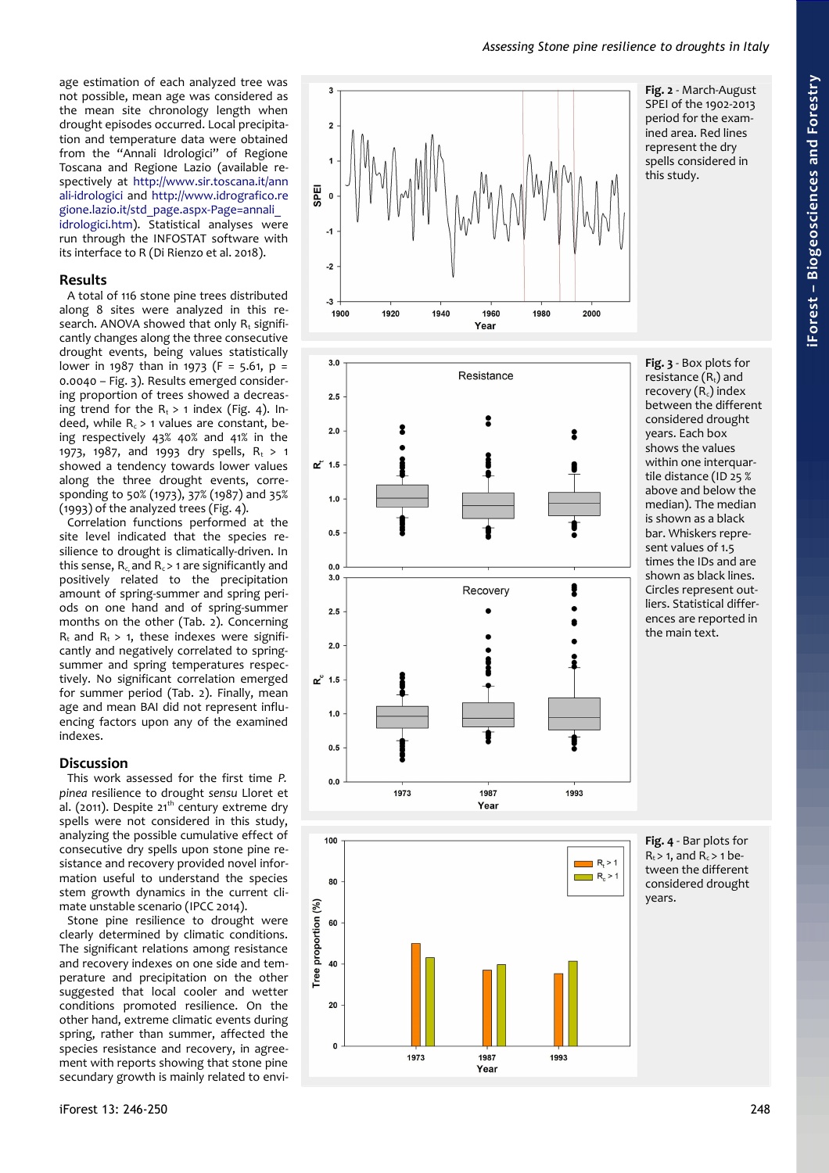age estimation of each analyzed tree was not possible, mean age was considered as the mean site chronology length when drought episodes occurred. Local precipita tion and temperature data were obtained from the "Annali Idrologici" of Regione Toscana and Regione Lazio (available re spectively at [http://www.sir.toscana.it/ann](http://www.sir.toscana.it/annali-idrologici) [ali-idrologici](http://www.sir.toscana.it/annali-idrologici) and [http://www.idrografico.re](http://www.idrografico.regione.lazio.it/std_page.aspx-Page=annali_idrologici.htm) [gione.lazio.it/std\\_page.aspx-Page=annali\\_](http://www.idrografico.regione.lazio.it/std_page.aspx-Page=annali_idrologici.htm) [idrologici.htm\)](http://www.idrografico.regione.lazio.it/std_page.aspx-Page=annali_idrologici.htm). Statistical analyses were run through the INFOSTAT software with its interface to R (Di Rienzo et al. 2018).

## **Results**

A total of 116 stone pine trees distributed along 8 sites were analyzed in this re search. ANOVA showed that only  $R_t$  significantly changes along the three consecutive drought events, being values statistically lower in 1987 than in 1973 (F = 5.61, p = 0.0040 – [Fig. 3\)](#page-2-2). Results emerged consider ing proportion of trees showed a decreas ing trend for the  $R_t > 1$  index [\(Fig. 4\)](#page-2-1). Indeed, while  $R_c > 1$  values are constant, being respectively 43% 40% and 41% in the 1973, 1987, and 1993 dry spells,  $R_t > 1$ showed a tendency towards lower values along the three drought events, corre sponding to 50% (1973), 37% (1987) and 35% (1993) of the analyzed trees [\(Fig. 4\)](#page-2-1).

Correlation functions performed at the site level indicated that the species resilience to drought is climatically-driven. In this sense,  $R_c$ , and  $R_c$  > 1 are significantly and positively related to the precipitation amount of spring-summer and spring peri ods on one hand and of spring-summer months on the other [\(Tab. 2\)](#page-3-0). Concerning  $R_t$  and  $R_t > 1$ , these indexes were significantly and negatively correlated to springsummer and spring temperatures respectively. No significant correlation emerged for summer period [\(Tab. 2\)](#page-3-0). Finally, mean age and mean BAI did not represent influ encing factors upon any of the examined indexes.

## **Discussion**

This work assessed for the first time *P. pinea* resilience to drought *sensu* Lloret et al. (2011). Despite  $21<sup>th</sup>$  century extreme dry spells were not considered in this study, analyzing the possible cumulative effect of consecutive dry spells upon stone pine re sistance and recovery provided novel infor mation useful to understand the species stem growth dynamics in the current cli mate unstable scenario (IPCC 2014).

Stone pine resilience to drought were clearly determined by climatic conditions. The significant relations among resistance and recovery indexes on one side and tem perature and precipitation on the other suggested that local cooler and wetter conditions promoted resilience. On the other hand, extreme climatic events during spring, rather than summer, affected the species resistance and recovery, in agree ment with reports showing that stone pine secundary growth is mainly related to envi -







<span id="page-2-2"></span><span id="page-2-0"></span>

<span id="page-2-1"></span>**Fig. 4** - Bar plots for  $R_t$  > 1, and  $R_c$  > 1 between the different considered drought years.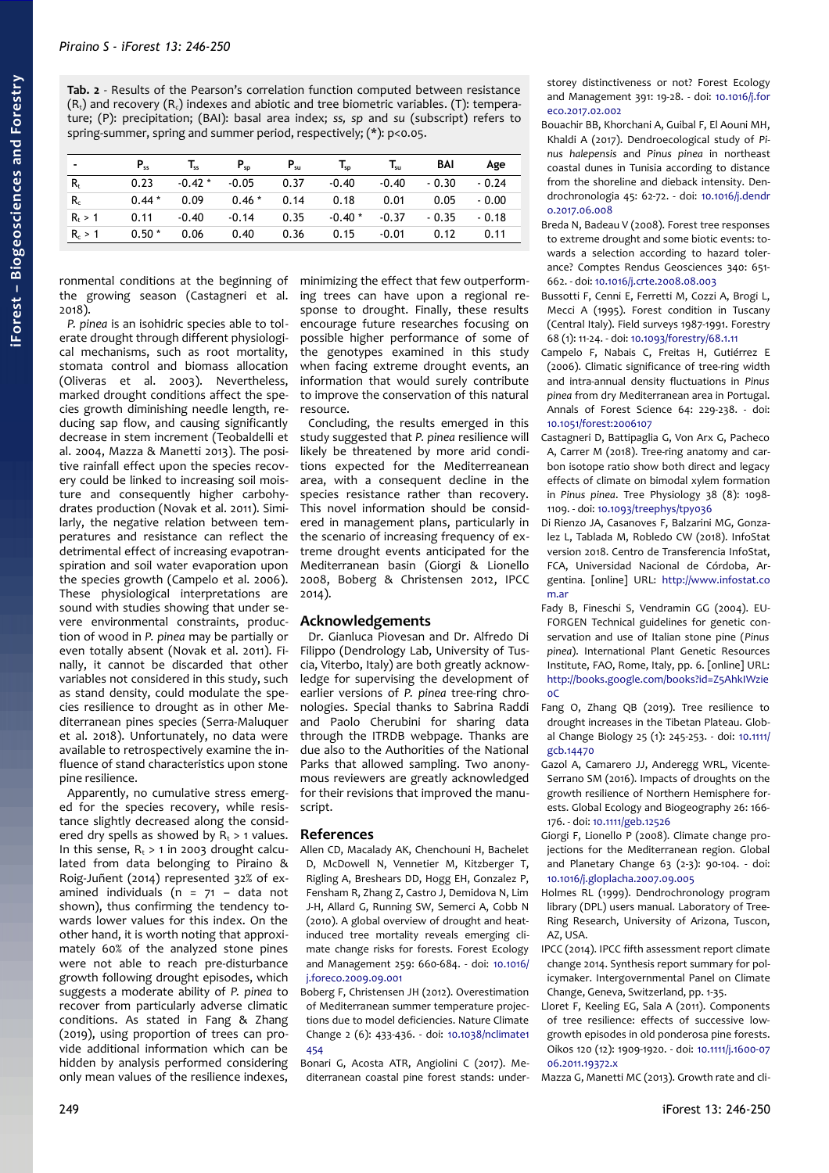<span id="page-3-0"></span>**Tab. 2** - Results of the Pearson's correlation function computed between resistance  $(R_t)$  and recovery  $(R_c)$  indexes and abiotic and tree biometric variables. (T): temperature; (P): precipitation; (BAI): basal area index; *ss, sp* and *su* (subscript) refers to spring-summer, spring and summer period, respectively; (\*): p<0.05.

|           | $P_{ss}$ | $T_{ss}$        | $P_{SD}$ | $P_{\rm su}$ | $T_{\rm SD}$ | $T_{\rm su}$ | BAI     | Age     |
|-----------|----------|-----------------|----------|--------------|--------------|--------------|---------|---------|
| $R_{t}$   | 0.23     | $-0.42 * -0.05$ |          | 0.37         | $-0.40$      | $-0.40$      | $-0.30$ | $-0.24$ |
| $R_c$     | $0.44*$  | 0.09            | $0.46*$  | 0.14         | 0.18         | 0.01         | 0.05    | $-0.00$ |
| $R_t > 1$ | 0.11     | $-0.40$         | $-0.14$  | 0.35         | $-0.40$ *    | $-0.37$      | $-0.35$ | $-0.18$ |
| $R_c > 1$ | $0.50*$  | 0.06            | 0.40     | 0.36         | 0.15         | $-0.01$      | 0.12    | 0.11    |

ronmental conditions at the beginning of the growing season (Castagneri et al. 2018).

*P. pinea* is an isohidric species able to tolerate drought through different physiological mechanisms, such as root mortality, stomata control and biomass allocation (Oliveras et al. 2003). Nevertheless, marked drought conditions affect the species growth diminishing needle length, reducing sap flow, and causing significantly decrease in stem increment (Teobaldelli et al. 2004, Mazza & Manetti 2013). The positive rainfall effect upon the species recovery could be linked to increasing soil moisture and consequently higher carbohydrates production (Novak et al. 2011). Similarly, the negative relation between temperatures and resistance can reflect the detrimental effect of increasing evapotranspiration and soil water evaporation upon the species growth (Campelo et al. 2006). These physiological interpretations are sound with studies showing that under severe environmental constraints, production of wood in *P. pinea* may be partially or even totally absent (Novak et al. 2011). Finally, it cannot be discarded that other variables not considered in this study, such as stand density, could modulate the species resilience to drought as in other Mediterranean pines species (Serra-Maluquer et al. 2018). Unfortunately, no data were available to retrospectively examine the influence of stand characteristics upon stone pine resilience.

Apparently, no cumulative stress emerged for the species recovery, while resistance slightly decreased along the considered dry spells as showed by  $R_t > 1$  values. In this sense,  $R_t > 1$  in 2003 drought calculated from data belonging to Piraino & Roig-Juñent (2014) represented 32% of examined individuals ( $n = 71 -$  data not shown), thus confirming the tendency towards lower values for this index. On the other hand, it is worth noting that approximately 60% of the analyzed stone pines were not able to reach pre-disturbance growth following drought episodes, which suggests a moderate ability of *P. pinea* to recover from particularly adverse climatic conditions. As stated in Fang & Zhang (2019), using proportion of trees can provide additional information which can be hidden by analysis performed considering only mean values of the resilience indexes,

minimizing the effect that few outperforming trees can have upon a regional response to drought. Finally, these results encourage future researches focusing on possible higher performance of some of the genotypes examined in this study when facing extreme drought events, an information that would surely contribute to improve the conservation of this natural resource.

Concluding, the results emerged in this study suggested that *P. pinea* resilience will likely be threatened by more arid conditions expected for the Mediterreanean area, with a consequent decline in the species resistance rather than recovery. This novel information should be considered in management plans, particularly in the scenario of increasing frequency of extreme drought events anticipated for the Mediterranean basin (Giorgi & Lionello 2008, Boberg & Christensen 2012, IPCC 2014).

## **Acknowledgements**

Dr. Gianluca Piovesan and Dr. Alfredo Di Filippo (Dendrology Lab, University of Tuscia, Viterbo, Italy) are both greatly acknowledge for supervising the development of earlier versions of *P. pinea* tree-ring chronologies. Special thanks to Sabrina Raddi and Paolo Cherubini for sharing data through the ITRDB webpage. Thanks are due also to the Authorities of the National Parks that allowed sampling. Two anonymous reviewers are greatly acknowledged for their revisions that improved the manuscript.

## **References**

- Allen CD, Macalady AK, Chenchouni H, Bachelet D, McDowell N, Vennetier M, Kitzberger T, Rigling A, Breshears DD, Hogg EH, Gonzalez P, Fensham R, Zhang Z, Castro J, Demidova N, Lim J-H, Allard G, Running SW, Semerci A, Cobb N (2010). A global overview of drought and heatinduced tree mortality reveals emerging climate change risks for forests. Forest Ecology and Management 259: 660-684. - doi: [10.1016/](https://doi.org/10.1016/j.foreco.2009.09.001) [j.foreco.2009.09.001](https://doi.org/10.1016/j.foreco.2009.09.001)
- Boberg F, Christensen JH (2012). Overestimation of Mediterranean summer temperature projections due to model deficiencies. Nature Climate Change 2 (6): 433-436. - doi: [10.1038/nclimate1](https://doi.org/10.1038/nclimate1454) [454](https://doi.org/10.1038/nclimate1454)

Bonari G, Acosta ATR, Angiolini C (2017). Mediterranean coastal pine forest stands: understorey distinctiveness or not? Forest Ecology and Management 391: 19-28. - doi: [10.1016/j.for](https://doi.org/10.1016/j.foreco.2017.02.002) [eco.2017.02.002](https://doi.org/10.1016/j.foreco.2017.02.002)

- Bouachir BB, Khorchani A, Guibal F, El Aouni MH, Khaldi A (2017). Dendroecological study of *Pinus halepensis* and *Pinus pinea* in northeast coastal dunes in Tunisia according to distance from the shoreline and dieback intensity. Dendrochronologia 45: 62-72. - doi: [10.1016/j.dendr](https://doi.org/10.1016/j.dendro.2017.06.008) [o.2017.06.008](https://doi.org/10.1016/j.dendro.2017.06.008)
- Breda N, Badeau V (2008). Forest tree responses to extreme drought and some biotic events: towards a selection according to hazard tolerance? Comptes Rendus Geosciences 340: 651- 662. - doi: [10.1016/j.crte.2008.08.003](https://doi.org/10.1016/j.crte.2008.08.003)
- Bussotti F, Cenni E, Ferretti M, Cozzi A, Brogi L, Mecci A (1995). Forest condition in Tuscany (Central Italy). Field surveys 1987-1991. Forestry 68 (1): 11-24. - doi: [10.1093/forestry/68.1.11](https://doi.org/10.1093/forestry/68.1.11)
- Campelo F, Nabais C, Freitas H, Gutiérrez E (2006). Climatic significance of tree-ring width and intra-annual density fluctuations in *Pinus pinea* from dry Mediterranean area in Portugal. Annals of Forest Science 64: 229-238. - doi: [10.1051/forest:2006107](https://doi.org/10.1051/forest:2006107)
- Castagneri D, Battipaglia G, Von Arx G, Pacheco A, Carrer M (2018). Tree-ring anatomy and carbon isotope ratio show both direct and legacy effects of climate on bimodal xylem formation in *Pinus pinea*. Tree Physiology 38 (8): 1098- 1109. - doi: [10.1093/treephys/tpy036](https://doi.org/10.1093/treephys/tpy036)
- Di Rienzo JA, Casanoves F, Balzarini MG, Gonzalez L, Tablada M, Robledo CW (2018). InfoStat version 2018. Centro de Transferencia InfoStat, FCA, Universidad Nacional de Córdoba, Argentina. [online] URL: [http://www.infostat.co](http://www.infostat.com.ar/) [m.ar](http://www.infostat.com.ar/)
- Fady B, Fineschi S, Vendramin GG (2004). EU-FORGEN Technical guidelines for genetic conservation and use of Italian stone pine (*Pinus pinea*). International Plant Genetic Resources Institute, FAO, Rome, Italy, pp. 6. [online] URL: [http://books.google.com/books?id=Z5AhkIWzie](http://books.google.com/books?id=Z5AhkIWzie0C)  $0<sup>C</sup>$
- Fang O, Zhang QB (2019). Tree resilience to drought increases in the Tibetan Plateau. Global Change Biology 25 (1): 245-253. - doi: [10.1111/](https://doi.org/10.1111/gcb.14470) [gcb.14470](https://doi.org/10.1111/gcb.14470)
- Gazol A, Camarero JJ, Anderegg WRL, Vicente-Serrano SM (2016). Impacts of droughts on the growth resilience of Northern Hemisphere forests. Global Ecology and Biogeography 26: 166- 176. - doi: [10.1111/geb.12526](https://doi.org/10.1111/geb.12526)
- Giorgi F, Lionello P (2008). Climate change projections for the Mediterranean region. Global and Planetary Change 63 (2-3): 90-104. - doi: [10.1016/j.gloplacha.2007.09.005](https://doi.org/10.1016/j.gloplacha.2007.09.005)
- Holmes RL (1999). Dendrochronology program library (DPL) users manual. Laboratory of Tree-Ring Research, University of Arizona, Tuscon, AZ, USA.
- IPCC (2014). IPCC fifth assessment report climate change 2014. Synthesis report summary for policymaker. Intergovernmental Panel on Climate Change, Geneva, Switzerland, pp. 1-35.
- Lloret F, Keeling EG, Sala A (2011). Components of tree resilience: effects of successive lowgrowth episodes in old ponderosa pine forests. Oikos 120 (12): 1909-1920. - doi: [10.1111/j.1600-07](https://doi.org/10.1111/j.1600-0706.2011.19372.x) [06.2011.19372.x](https://doi.org/10.1111/j.1600-0706.2011.19372.x)

Mazza G, Manetti MC (2013). Growth rate and cli-